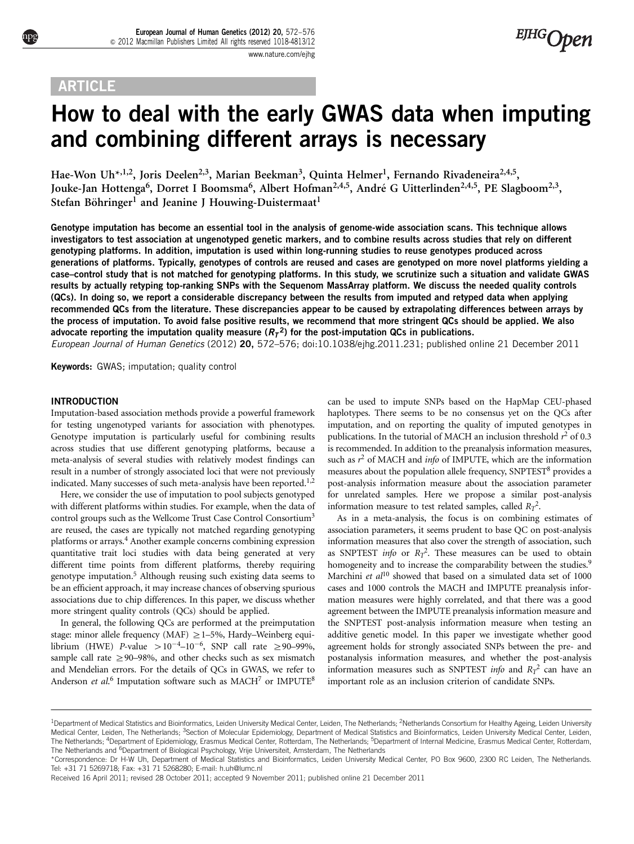## **ARTICLE**

# How to deal with the early GWAS data when imputing and combining different arrays is necessary

Hae-Won Uh<sup>\*,1,2</sup>, Joris Deelen<sup>2,3</sup>, Marian Beekman<sup>3</sup>, Quinta Helmer<sup>1</sup>, Fernando Rivadeneira<sup>2,4,5</sup>, Jouke-Jan Hottenga<sup>6</sup>, Dorret I Boomsma<sup>6</sup>, Albert Hofman<sup>2,4,5</sup>, André G Uitterlinden<sup>2,4,5</sup>, PE Slagboom<sup>2,3</sup>, Stefan Böhringer<sup>1</sup> and Jeanine J Houwing-Duistermaat<sup>1</sup>

Genotype imputation has become an essential tool in the analysis of genome-wide association scans. This technique allows investigators to test association at ungenotyped genetic markers, and to combine results across studies that rely on different genotyping platforms. In addition, imputation is used within long-running studies to reuse genotypes produced across generations of platforms. Typically, genotypes of controls are reused and cases are genotyped on more novel platforms yielding a case–control study that is not matched for genotyping platforms. In this study, we scrutinize such a situation and validate GWAS results by actually retyping top-ranking SNPs with the Sequenom MassArray platform. We discuss the needed quality controls (QCs). In doing so, we report a considerable discrepancy between the results from imputed and retyped data when applying recommended QCs from the literature. These discrepancies appear to be caused by extrapolating differences between arrays by the process of imputation. To avoid false positive results, we recommend that more stringent QCs should be applied. We also advocate reporting the imputation quality measure  $(R<sub>T</sub><sup>2</sup>)$  for the post-imputation QCs in publications. European Journal of Human Genetics (2012) 20, 572–576; doi[:10.1038/ejhg.2011.231](http://dx.doi.org/10.1038/ejhg.2011.231); published online 21 December 2011

Keywords: GWAS; imputation; quality control

#### INTRODUCTION

Imputation-based association methods provide a powerful framework for testing ungenotyped variants for association with phenotypes. Genotype imputation is particularly useful for combining results across studies that use different genotyping platforms, because a meta-analysis of several studies with relatively modest findings can result in a number of strongly associated loci that were not previously indicated. Many successes of such meta-analysis have been reported.<sup>1,2</sup>

Here, we consider the use of imputation to pool subjects genotyped with different platforms within studies. For example, when the data of control groups such as the Wellcome Trust Case Control Consortium<sup>[3](#page-3-0)</sup> are reused, the cases are typically not matched regarding genotyping platforms or arrays[.4](#page-3-0) Another example concerns combining expression quantitative trait loci studies with data being generated at very different time points from different platforms, thereby requiring genotype imputation[.5](#page-3-0) Although reusing such existing data seems to be an efficient approach, it may increase chances of observing spurious associations due to chip differences. In this paper, we discuss whether more stringent quality controls (QCs) should be applied.

In general, the following QCs are performed at the preimputation stage: minor allele frequency (MAF)  $\geq$  1–5%, Hardy–Weinberg equilibrium (HWE) P-value  $> 10^{-4}$ -10<sup>-6</sup>, SNP call rate  $\geq$ 90-99%, sample call rate  $\geq$  90–98%, and other checks such as sex mismatch and Mendelian errors. For the details of QCs in GWAS, we refer to Anderson et al.<sup>[6](#page-3-0)</sup> Imputation software such as MACH<sup>[7](#page-4-0)</sup> or IMPUTE<sup>[8](#page-4-0)</sup>

can be used to impute SNPs based on the HapMap CEU-phased haplotypes. There seems to be no consensus yet on the QCs after imputation, and on reporting the quality of imputed genotypes in publications. In the tutorial of MACH an inclusion threshold  $r^2$  of 0.3 is recommended. In addition to the preanalysis information measures, such as  $r^2$  of MACH and info of IMPUTE, which are the information measures about the population allele frequency, SNPTEST<sup>8</sup> provides a post-analysis information measure about the association parameter for unrelated samples. Here we propose a similar post-analysis information measure to test related samples, called  $R_T^2$ .

As in a meta-analysis, the focus is on combining estimates of association parameters, it seems prudent to base QC on post-analysis information measures that also cover the strength of association, such as SNPTEST *info* or  $R_T^2$ . These measures can be used to obtain homogeneity and to increase the comparability between the studies.<sup>[9](#page-4-0)</sup> Marchini et  $al^{10}$  $al^{10}$  $al^{10}$  showed that based on a simulated data set of 1000 cases and 1000 controls the MACH and IMPUTE preanalysis information measures were highly correlated, and that there was a good agreement between the IMPUTE preanalysis information measure and the SNPTEST post-analysis information measure when testing an additive genetic model. In this paper we investigate whether good agreement holds for strongly associated SNPs between the pre- and postanalysis information measures, and whether the post-analysis information measures such as SNPTEST *info* and  $R_T^2$  can have an important role as an inclusion criterion of candidate SNPs.

<sup>&</sup>lt;sup>1</sup>Department of Medical Statistics and Bioinformatics, Leiden University Medical Center, Leiden, The Netherlands; <sup>2</sup>Netherlands Consortium for Healthy Ageing, Leiden University Medical Center, Leiden, The Netherlands; <sup>3</sup>Section of Molecular Epidemiology, Department of Medical Statistics and Bioinformatics, Leiden University Medical Center, Leiden, The Netherlands; <sup>4</sup>Department of Epidemiology, Erasmus Medical Center, Rotterdam, The Netherlands; <sup>5</sup>Department of Internal Medicine, Erasmus Medical Center, Rotterdam, The Netherlands and <sup>6</sup>Department of Biological Psychology, Vrije Universiteit, Amsterdam, The Netherlands

<sup>\*</sup>Correspondence: Dr H-W Uh, Department of Medical Statistics and Bioinformatics, Leiden University Medical Center, PO Box 9600, 2300 RC Leiden, The Netherlands. Tel: +31 71 5269718; Fax: +31 71 5268280; E-mail: [h.uh@lumc.nl](mailto:h.uh@lumc.nl)

Received 16 April 2011; revised 28 October 2011; accepted 9 November 2011; published online 21 December 2011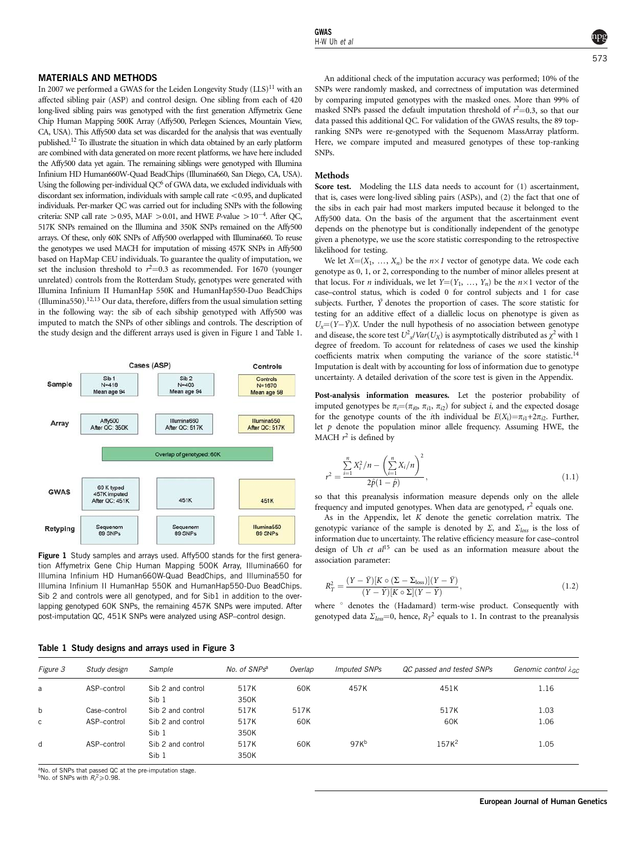<span id="page-1-0"></span>In 2007 we performed a GWAS for the Leiden Longevity Study  $(LLS)^{11}$  $(LLS)^{11}$  $(LLS)^{11}$  with an affected sibling pair (ASP) and control design. One sibling from each of 420 long-lived sibling pairs was genotyped with the first generation Affymetrix Gene Chip Human Mapping 500K Array (Affy500, Perlegen Sciences, Mountain View, CA, USA). This Affy500 data set was discarded for the analysis that was eventually published[.12](#page-4-0) To illustrate the situation in which data obtained by an early platform are combined with data generated on more recent platforms, we have here included the Affy500 data yet again. The remaining siblings were genotyped with Illumina Infinium HD Human660W-Quad BeadChips (Illumina660, San Diego, CA, USA). Using the following per-individual  $QC^6$  $QC^6$  of GWA data, we excluded individuals with discordant sex information, individuals with sample call rate  $<$  0.95, and duplicated individuals. Per-marker QC was carried out for including SNPs with the following criteria: SNP call rate > 0.95, MAF > 0.01, and HWE P-value >  $10^{-4}$ . After QC, 517K SNPs remained on the Illumina and 350K SNPs remained on the Affy500 arrays. Of these, only 60K SNPs of Affy500 overlapped with Illumina660. To reuse the genotypes we used MACH for imputation of missing 457K SNPs in Affy500 based on HapMap CEU individuals. To guarantee the quality of imputation, we set the inclusion threshold to  $r^2=0.3$  as recommended. For 1670 (younger unrelated) controls from the Rotterdam Study, genotypes were generated with Illumina Infinium II HumanHap 550K and HumanHap550-Duo BeadChips (Illumina550).<sup>12,13</sup> Our data, therefore, differs from the usual simulation setting in the following way: the sib of each sibship genotyped with Affy500 was imputed to match the SNPs of other siblings and controls. The description of the study design and the different arrays used is given in Figure 1 and Table 1.



Figure 1 Study samples and arrays used. Affy500 stands for the first generation Affymetrix Gene Chip Human Mapping 500K Array, Illumina660 for Illumina Infinium HD Human660W-Quad BeadChips, and Illumina550 for Illumina Infinium II HumanHap 550K and HumanHap550-Duo BeadChips. Sib 2 and controls were all genotyped, and for Sib1 in addition to the overlapping genotyped 60K SNPs, the remaining 457K SNPs were imputed. After post-imputation QC, 451K SNPs were analyzed using ASP–control design.

### An additional check of the imputation accuracy was performed; 10% of the SNPs were randomly masked, and correctness of imputation was determined by comparing imputed genotypes with the masked ones. More than 99% of masked SNPs passed the default imputation threshold of  $r^2=0.3$ , so that our data passed this additional QC. For validation of the GWAS results, the 89 topranking SNPs were re-genotyped with the Sequenom MassArray platform. Here, we compare imputed and measured genotypes of these top-ranking SNPs.

#### **Methods**

Score test. Modeling the LLS data needs to account for (1) ascertainment, that is, cases were long-lived sibling pairs (ASPs), and (2) the fact that one of the sibs in each pair had most markers imputed because it belonged to the Affy500 data. On the basis of the argument that the ascertainment event depends on the phenotype but is conditionally independent of the genotype given a phenotype, we use the score statistic corresponding to the retrospective likelihood for testing.

We let  $X=(X_1, \ldots, X_n)$  be the  $n\times 1$  vector of genotype data. We code each genotype as 0, 1, or 2, corresponding to the number of minor alleles present at that locus. For *n* individuals, we let  $Y=(Y_1, \ldots, Y_n)$  be the  $n\times 1$  vector of the case–control status, which is coded 0 for control subjects and 1 for case subjects. Further,  $\bar{Y}$  denotes the proportion of cases. The score statistic for testing for an additive effect of a diallelic locus on phenotype is given as  $U_x=(Y-\bar{Y})X$ . Under the null hypothesis of no association between genotype and disease, the score test  $U^2_{\alpha}/Var(U_X)$  is asymptotically distributed as  $\chi^2$  with 1 degree of freedom. To account for relatedness of cases we used the kinship coefficients matrix when computing the variance of the score statistic.<sup>14</sup> Imputation is dealt with by accounting for loss of information due to genotype uncertainty. A detailed derivation of the score test is given in the Appendix.

Post-analysis information measures. Let the posterior probability of imputed genotypes be  $\pi_i = (\pi_{i0}, \pi_{i1}, \pi_{i2})$  for subject *i*, and the expected dosage for the genotype counts of the *i*th individual be  $E(X_i) = \pi_{i1} + 2\pi_{i2}$ . Further, let  $p$  denote the population minor allele frequency. Assuming HWE, the MACH  $r^2$  is defined by

$$
r^{2} = \frac{\sum_{i=1}^{n} X_{i}^{2} / n - \left(\sum_{i=1}^{n} X_{i} / n\right)^{2}}{2\hat{p}(1-\hat{p})},
$$
\n(1.1)

so that this preanalysis information measure depends only on the allele frequency and imputed genotypes. When data are genotyped,  $r^2$  equals one.

As in the Appendix, let K denote the genetic correlation matrix. The genotypic variance of the sample is denoted by  $\Sigma$ , and  $\Sigma_{loss}$  is the loss of information due to uncertainty. The relative efficiency measure for case–control design of Uh et  $al^{15}$  $al^{15}$  $al^{15}$  can be used as an information measure about the association parameter:

$$
R_T^2 = \frac{(Y - \bar{Y})[K \circ (\Sigma - \Sigma_{\text{loss}})](Y - \bar{Y})}{(Y - \bar{Y})[K \circ \Sigma](Y - \bar{Y})},\tag{1.2}
$$

where  $\degree$  denotes the (Hadamard) term-wise product. Consequently with genotyped data  $\Sigma_{loss}$ =0, hence,  $R_T^2$  equals to 1. In contrast to the preanalysis

| Figure 3     | Study design | Sample                     | No. of SNPs <sup>a</sup> | Overlap | Imputed SNPs | QC passed and tested SNPs | Genomic control $\lambda_{GC}$ |
|--------------|--------------|----------------------------|--------------------------|---------|--------------|---------------------------|--------------------------------|
| a            | ASP-control  | Sib 2 and control<br>Sib 1 | 517K<br>350K             | 60K     | 457K         | 451K                      | 1.16                           |
| b.           | Case-control | Sib 2 and control          | 517K                     | 517K    |              | 517K                      | 1.03                           |
| $\mathbf{C}$ | ASP-control  | Sib 2 and control<br>Sib 1 | 517K<br>350K             | 60K     |              | 60K                       | 1.06                           |
| d            | ASP-control  | Sib 2 and control<br>Sib 1 | 517K<br>350K             | 60K     | 97Kb         | 157K <sup>2</sup>         | 1.05                           |

Table 1 Study designs and arrays used in Figure 3

aNo. of SNPs that passed QC at the pre-imputation stage

<sup>b</sup>No. of SNPs with  $R_f^2 \geqslant 0.98$ .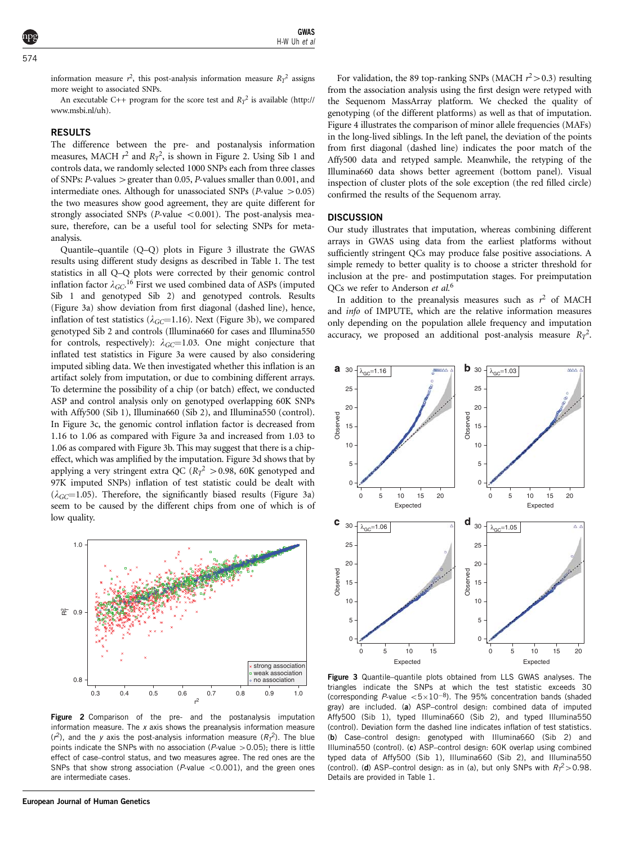<span id="page-2-0"></span>information measure  $r^2$ , this post-analysis information measure  $R_T^2$  assigns more weight to associated SNPs.

An executable C++ program for the score test and  $R_T^2$  is available [\(http://](http://www.msbi.nl/uh) [www.msbi.nl/uh](http://www.msbi.nl/uh)).

#### RESULTS

The difference between the pre- and postanalysis information measures, MACH  $r^2$  and  $R_T^2$ , is shown in Figure 2. Using Sib 1 and controls data, we randomly selected 1000 SNPs each from three classes of SNPs: P-values  $>$  greater than 0.05, P-values smaller than 0.001, and intermediate ones. Although for unassociated SNPs ( $P$ -value  $> 0.05$ ) the two measures show good agreement, they are quite different for strongly associated SNPs ( $P$ -value <0.001). The post-analysis measure, therefore, can be a useful tool for selecting SNPs for metaanalysis.

Quantile–quantile (Q–Q) plots in Figure 3 illustrate the GWAS results using different study designs as described in [Table 1.](#page-1-0) The test statistics in all Q–Q plots were corrected by their genomic control inflation factor  $\lambda_{GC}$ .<sup>[16](#page-4-0)</sup> First we used combined data of ASPs (imputed Sib 1 and genotyped Sib 2) and genotyped controls. Results (Figure 3a) show deviation from first diagonal (dashed line), hence, inflation of test statistics ( $\lambda_{GC}$ =1.16). Next (Figure 3b), we compared genotyped Sib 2 and controls (Illumina660 for cases and Illumina550 for controls, respectively):  $\lambda_{GC}$ =1.03. One might conjecture that inflated test statistics in Figure 3a were caused by also considering imputed sibling data. We then investigated whether this inflation is an artifact solely from imputation, or due to combining different arrays. To determine the possibility of a chip (or batch) effect, we conducted ASP and control analysis only on genotyped overlapping 60K SNPs with Affy500 (Sib 1), Illumina660 (Sib 2), and Illumina550 (control). In Figure 3c, the genomic control inflation factor is decreased from 1.16 to 1.06 as compared with Figure 3a and increased from 1.03 to 1.06 as compared with Figure 3b. This may suggest that there is a chipeffect, which was amplified by the imputation. Figure 3d shows that by applying a very stringent extra QC ( $R_T^2 > 0.98$ , 60K genotyped and 97K imputed SNPs) inflation of test statistic could be dealt with  $(\lambda_{GC}=1.05)$ . Therefore, the significantly biased results (Figure 3a) seem to be caused by the different chips from one of which is of low quality.



Figure 2 Comparison of the pre- and the postanalysis imputation information measure. The  $x$  axis shows the preanalysis information measure  $(r^2)$ , and the y axis the post-analysis information measure  $(Rr^2)$ . The blue points indicate the SNPs with no association ( $P$ -value > 0.05); there is little effect of case–control status, and two measures agree. The red ones are the SNPs that show strong association (P-value  $<$  0.001), and the green ones are intermediate cases.

For validation, the 89 top-ranking SNPs (MACH  $r^2 > 0.3$ ) resulting from the association analysis using the first design were retyped with the Sequenom MassArray platform. We checked the quality of genotyping (of the different platforms) as well as that of imputation. [Figure 4](#page-3-0) illustrates the comparison of minor allele frequencies (MAFs) in the long-lived siblings. In the left panel, the deviation of the points from first diagonal (dashed line) indicates the poor match of the Affy500 data and retyped sample. Meanwhile, the retyping of the Illumina660 data shows better agreement (bottom panel). Visual inspection of cluster plots of the sole exception (the red filled circle) confirmed the results of the Sequenom array.

#### **DISCUSSION**

Our study illustrates that imputation, whereas combining different arrays in GWAS using data from the earliest platforms without sufficiently stringent QCs may produce false positive associations. A simple remedy to better quality is to choose a stricter threshold for inclusion at the pre- and postimputation stages. For preimputation QCs we refer to Anderson et al.<sup>[6](#page-3-0)</sup>

In addition to the preanalysis measures such as  $r^2$  of MACH and info of IMPUTE, which are the relative information measures only depending on the population allele frequency and imputation accuracy, we proposed an additional post-analysis measure  $R_T^2$ .



Figure 3 Quantile–quantile plots obtained from LLS GWAS analyses. The triangles indicate the SNPs at which the test statistic exceeds 30 (corresponding P-value  $< 5 \times 10^{-8}$ ). The 95% concentration bands (shaded gray) are included. (a) ASP–control design: combined data of imputed Affy500 (Sib 1), typed Illumina660 (Sib 2), and typed Illumina550 (control). Deviation form the dashed line indicates inflation of test statistics. (b) Case–control design: genotyped with Illumina660 (Sib 2) and Illumina550 (control). (c) ASP–control design: 60K overlap using combined typed data of Affy500 (Sib 1), Illumina660 (Sib 2), and Illumina550 (control). (d) ASP-control design: as in (a), but only SNPs with  $R_7^2 > 0.98$ . Details are provided in [Table 1.](#page-1-0)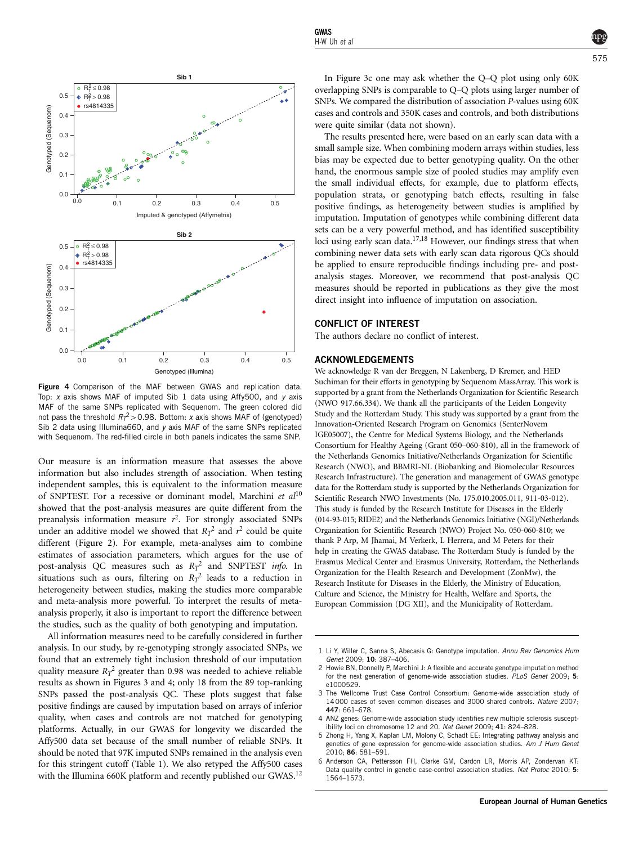<span id="page-3-0"></span>

Figure 4 Comparison of the MAF between GWAS and replication data. Top:  $x$  axis shows MAF of imputed Sib 1 data using Affy500, and  $y$  axis MAF of the same SNPs replicated with Sequenom. The green colored did not pass the threshold  $R_T^2 > 0.98$ . Bottom: x axis shows MAF of (genotyped) Sib 2 data using Illumina660, and y axis MAF of the same SNPs replicated with Sequenom. The red-filled circle in both panels indicates the same SNP.

Our measure is an information measure that assesses the above information but also includes strength of association. When testing independent samples, this is equivalent to the information measure of SNPTEST. For a recessive or dominant model, Marchini et  $al^{10}$  $al^{10}$  $al^{10}$ showed that the post-analysis measures are quite different from the preanalysis information measure  $r^2$ . For strongly associated SNPs under an additive model we showed that  $R_T^2$  and  $r^2$  could be quite different [\(Figure 2](#page-2-0)). For example, meta-analyses aim to combine estimates of association parameters, which argues for the use of post-analysis QC measures such as  $R_T^2$  and SNPTEST *info*. In situations such as ours, filtering on  $R_T^2$  leads to a reduction in heterogeneity between studies, making the studies more comparable and meta-analysis more powerful. To interpret the results of metaanalysis properly, it also is important to report the difference between the studies, such as the quality of both genotyping and imputation.

All information measures need to be carefully considered in further analysis. In our study, by re-genotyping strongly associated SNPs, we found that an extremely tight inclusion threshold of our imputation quality measure  $R_T^2$  greater than 0.98 was needed to achieve reliable results as shown in [Figures 3 and 4](#page-2-0); only 18 from the 89 top-ranking SNPs passed the post-analysis QC. These plots suggest that false positive findings are caused by imputation based on arrays of inferior quality, when cases and controls are not matched for genotyping platforms. Actually, in our GWAS for longevity we discarded the Affy500 data set because of the small number of reliable SNPs. It should be noted that 97K imputed SNPs remained in the analysis even for this stringent cutoff ([Table 1\)](#page-1-0). We also retyped the Affy500 cases with the Illumina 660K platform and recently published our GWAS.<sup>[12](#page-4-0)</sup>

In [Figure 3c](#page-2-0) one may ask whether the Q–Q plot using only 60K overlapping SNPs is comparable to Q–Q plots using larger number of SNPs. We compared the distribution of association P-values using 60K cases and controls and 350K cases and controls, and both distributions were quite similar (data not shown).

The results presented here, were based on an early scan data with a small sample size. When combining modern arrays within studies, less bias may be expected due to better genotyping quality. On the other hand, the enormous sample size of pooled studies may amplify even the small individual effects, for example, due to platform effects, population strata, or genotyping batch effects, resulting in false positive findings, as heterogeneity between studies is amplified by imputation. Imputation of genotypes while combining different data sets can be a very powerful method, and has identified susceptibility loci using early scan data.<sup>[17,18](#page-4-0)</sup> However, our findings stress that when combining newer data sets with early scan data rigorous QCs should be applied to ensure reproducible findings including pre- and postanalysis stages. Moreover, we recommend that post-analysis QC measures should be reported in publications as they give the most direct insight into influence of imputation on association.

#### CONFLICT OF INTEREST

The authors declare no conflict of interest.

#### ACKNOWLEDGEMENTS

We acknowledge R van der Breggen, N Lakenberg, D Kremer, and HED Suchiman for their efforts in genotyping by Sequenom MassArray. This work is supported by a grant from the Netherlands Organization for Scientific Research (NWO 917.66.334). We thank all the participants of the Leiden Longevity Study and the Rotterdam Study. This study was supported by a grant from the Innovation-Oriented Research Program on Genomics (SenterNovem IGE05007), the Centre for Medical Systems Biology, and the Netherlands Consortium for Healthy Ageing (Grant 050–060-810), all in the framework of the Netherlands Genomics Initiative/Netherlands Organization for Scientific Research (NWO), and BBMRI-NL (Biobanking and Biomolecular Resources Research Infrastructure). The generation and management of GWAS genotype data for the Rotterdam study is supported by the Netherlands Organization for Scientific Research NWO Investments (No. 175.010.2005.011, 911-03-012). This study is funded by the Research Institute for Diseases in the Elderly (014-93-015; RIDE2) and the Netherlands Genomics Initiative (NGI)/Netherlands Organization for Scientific Research (NWO) Project No. 050-060-810; we thank P Arp, M Jhamai, M Verkerk, L Herrera, and M Peters for their help in creating the GWAS database. The Rotterdam Study is funded by the Erasmus Medical Center and Erasmus University, Rotterdam, the Netherlands Organization for the Health Research and Development (ZonMw), the Research Institute for Diseases in the Elderly, the Ministry of Education, Culture and Science, the Ministry for Health, Welfare and Sports, the European Commission (DG XII), and the Municipality of Rotterdam.

- 1 Li Y, Willer C, Sanna S, Abecasis G: Genotype imputation. Annu Rev Genomics Hum Genet 2009; 10: 387–406.
- 2 Howie BN, Donnelly P, Marchini J: A flexible and accurate genotype imputation method for the next generation of genome-wide association studies. PLoS Genet 2009; 5: e1000529.
- 3 The Wellcome Trust Case Control Consortium: Genome-wide association study of 14000 cases of seven common diseases and 3000 shared controls. Nature 2007; 447: 661–678.
- 4 ANZ genes: Genome-wide association study identifies new multiple sclerosis susceptibility loci on chromosome 12 and 20. Nat Genet 2009; 41: 824–828.
- 5 Zhong H, Yang X, Kaplan LM, Molony C, Schadt EE: Integrating pathway analysis and genetics of gene expression for genome-wide association studies. Am J Hum Genet 2010; 86: 581–591.
- 6 Anderson CA, Pettersson FH, Clarke GM, Cardon LR, Morris AP, Zondervan KT: Data quality control in genetic case-control association studies. Nat Protoc 2010; 5: 1564–1573.